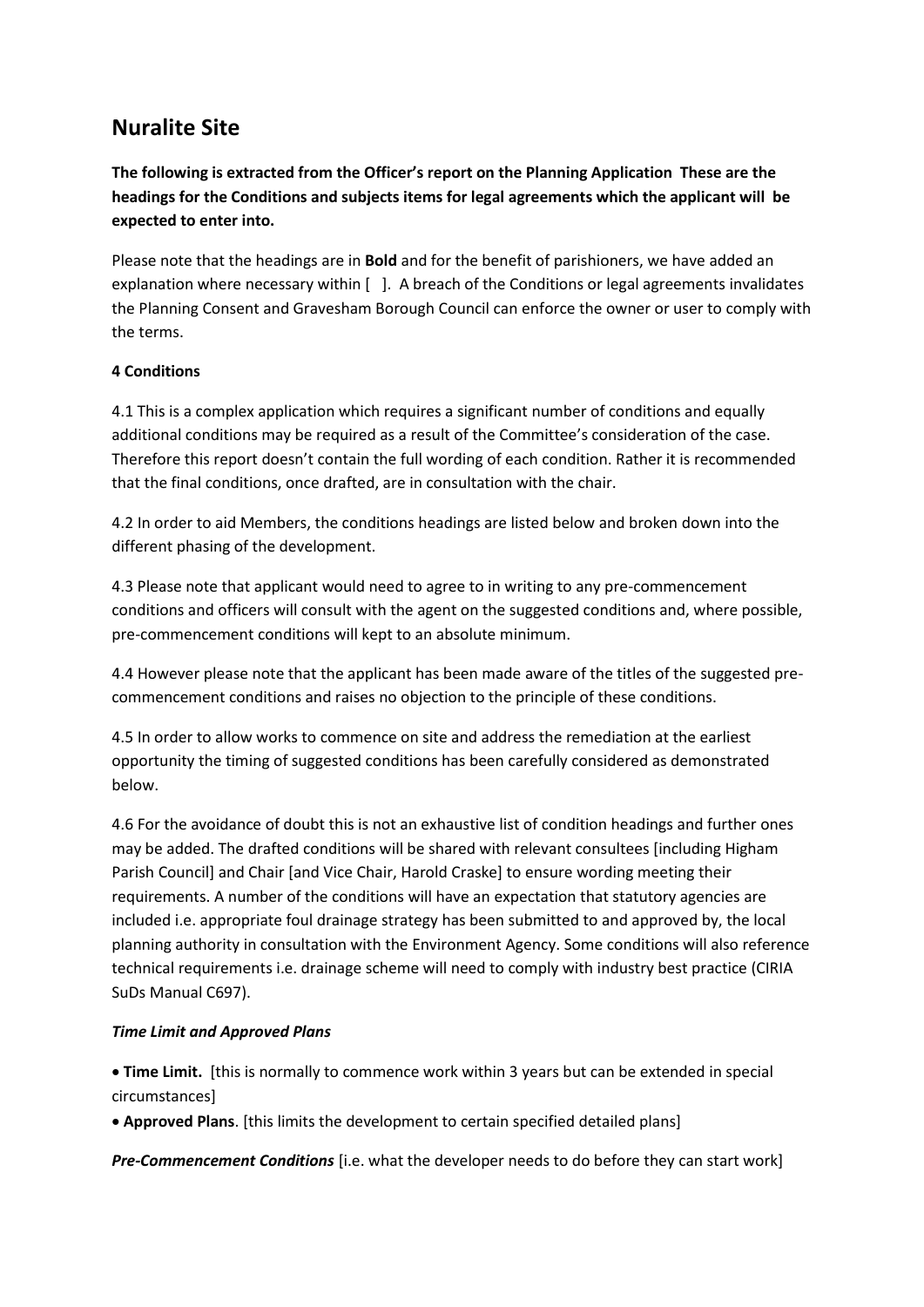# **Nuralite Site**

**The following is extracted from the Officer's report on the Planning Application These are the headings for the Conditions and subjects items for legal agreements which the applicant will be expected to enter into.** 

Please note that the headings are in **Bold** and for the benefit of parishioners, we have added an explanation where necessary within [ ]. A breach of the Conditions or legal agreements invalidates the Planning Consent and Gravesham Borough Council can enforce the owner or user to comply with the terms.

# **4 Conditions**

4.1 This is a complex application which requires a significant number of conditions and equally additional conditions may be required as a result of the Committee's consideration of the case. Therefore this report doesn't contain the full wording of each condition. Rather it is recommended that the final conditions, once drafted, are in consultation with the chair.

4.2 In order to aid Members, the conditions headings are listed below and broken down into the different phasing of the development.

4.3 Please note that applicant would need to agree to in writing to any pre-commencement conditions and officers will consult with the agent on the suggested conditions and, where possible, pre-commencement conditions will kept to an absolute minimum.

4.4 However please note that the applicant has been made aware of the titles of the suggested precommencement conditions and raises no objection to the principle of these conditions.

4.5 In order to allow works to commence on site and address the remediation at the earliest opportunity the timing of suggested conditions has been carefully considered as demonstrated below.

4.6 For the avoidance of doubt this is not an exhaustive list of condition headings and further ones may be added. The drafted conditions will be shared with relevant consultees [including Higham Parish Council] and Chair [and Vice Chair, Harold Craske] to ensure wording meeting their requirements. A number of the conditions will have an expectation that statutory agencies are included i.e. appropriate foul drainage strategy has been submitted to and approved by, the local planning authority in consultation with the Environment Agency. Some conditions will also reference technical requirements i.e. drainage scheme will need to comply with industry best practice (CIRIA SuDs Manual C697).

# *Time Limit and Approved Plans*

 **Time Limit.** [this is normally to commence work within 3 years but can be extended in special circumstances]

**Approved Plans**. [this limits the development to certain specified detailed plans]

*Pre-Commencement Conditions* [i.e. what the developer needs to do before they can start work]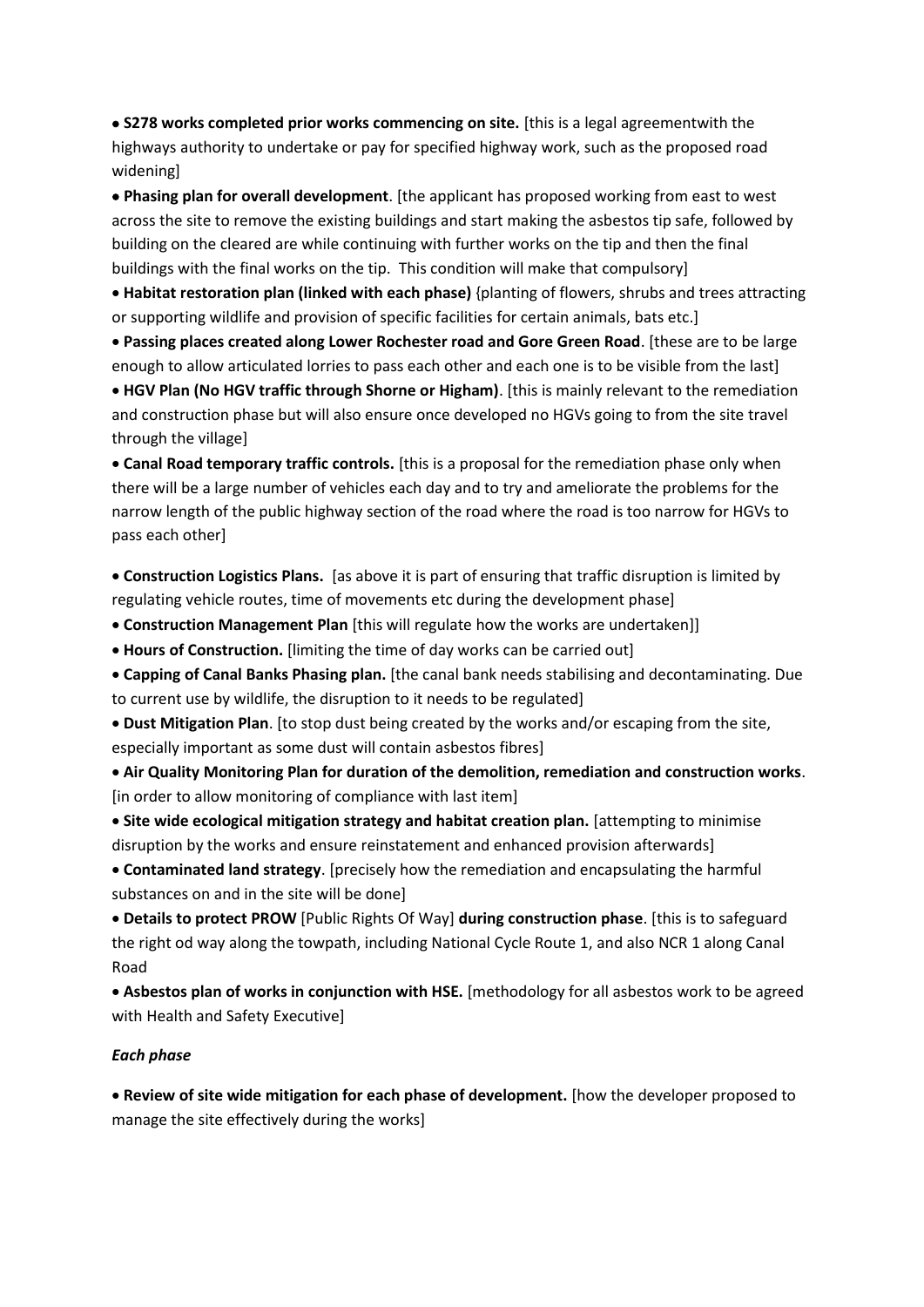**S278 works completed prior works commencing on site.** [this is a legal agreementwith the highways authority to undertake or pay for specified highway work, such as the proposed road widening]

 **Phasing plan for overall development**. [the applicant has proposed working from east to west across the site to remove the existing buildings and start making the asbestos tip safe, followed by building on the cleared are while continuing with further works on the tip and then the final buildings with the final works on the tip. This condition will make that compulsory]

 **Habitat restoration plan (linked with each phase)** {planting of flowers, shrubs and trees attracting or supporting wildlife and provision of specific facilities for certain animals, bats etc.]

 **Passing places created along Lower Rochester road and Gore Green Road**. [these are to be large enough to allow articulated lorries to pass each other and each one is to be visible from the last]

 **HGV Plan (No HGV traffic through Shorne or Higham)**. [this is mainly relevant to the remediation and construction phase but will also ensure once developed no HGVs going to from the site travel through the village]

 **Canal Road temporary traffic controls.** [this is a proposal for the remediation phase only when there will be a large number of vehicles each day and to try and ameliorate the problems for the narrow length of the public highway section of the road where the road is too narrow for HGVs to pass each other]

 **Construction Logistics Plans.** [as above it is part of ensuring that traffic disruption is limited by regulating vehicle routes, time of movements etc during the development phase]

**Construction Management Plan** [this will regulate how the works are undertaken]]

**Hours of Construction.** [limiting the time of day works can be carried out]

 **Capping of Canal Banks Phasing plan.** [the canal bank needs stabilising and decontaminating. Due to current use by wildlife, the disruption to it needs to be regulated]

 **Dust Mitigation Plan**. [to stop dust being created by the works and/or escaping from the site, especially important as some dust will contain asbestos fibres]

 **Air Quality Monitoring Plan for duration of the demolition, remediation and construction works**. [in order to allow monitoring of compliance with last item]

 **Site wide ecological mitigation strategy and habitat creation plan.** [attempting to minimise disruption by the works and ensure reinstatement and enhanced provision afterwards]

 **Contaminated land strategy**. [precisely how the remediation and encapsulating the harmful substances on and in the site will be done]

 **Details to protect PROW** [Public Rights Of Way] **during construction phase**. [this is to safeguard the right od way along the towpath, including National Cycle Route 1, and also NCR 1 along Canal Road

 **Asbestos plan of works in conjunction with HSE.** [methodology for all asbestos work to be agreed with Health and Safety Executive]

#### *Each phase*

 **Review of site wide mitigation for each phase of development.** [how the developer proposed to manage the site effectively during the works]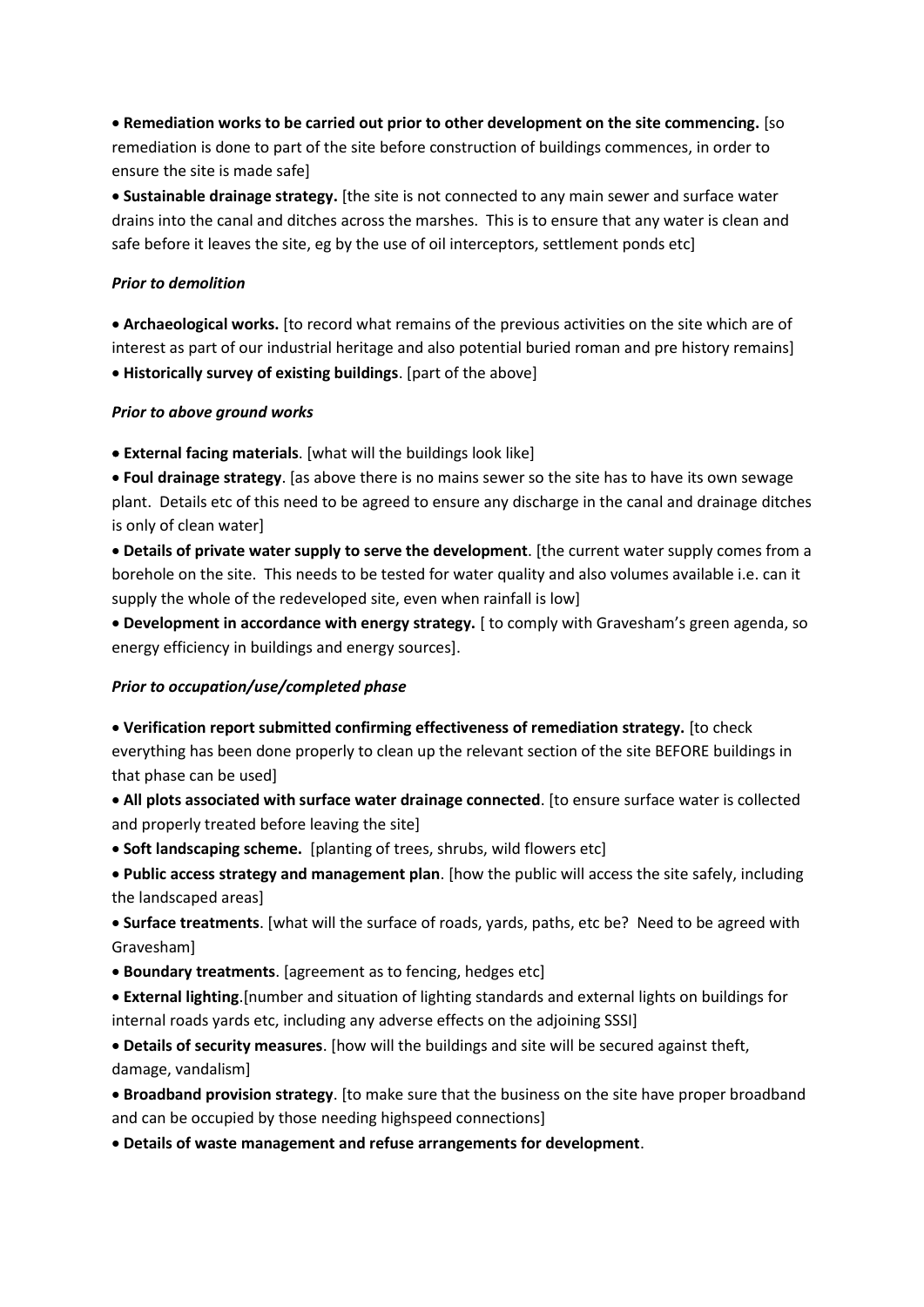**Remediation works to be carried out prior to other development on the site commencing.** [so remediation is done to part of the site before construction of buildings commences, in order to ensure the site is made safe]

 **Sustainable drainage strategy.** [the site is not connected to any main sewer and surface water drains into the canal and ditches across the marshes. This is to ensure that any water is clean and safe before it leaves the site, eg by the use of oil interceptors, settlement ponds etc]

#### *Prior to demolition*

 **Archaeological works.** [to record what remains of the previous activities on the site which are of interest as part of our industrial heritage and also potential buried roman and pre history remains] **Historically survey of existing buildings**. [part of the above]

#### *Prior to above ground works*

**External facing materials**. [what will the buildings look like]

 **Foul drainage strategy**. [as above there is no mains sewer so the site has to have its own sewage plant. Details etc of this need to be agreed to ensure any discharge in the canal and drainage ditches is only of clean water]

 **Details of private water supply to serve the development**. [the current water supply comes from a borehole on the site. This needs to be tested for water quality and also volumes available i.e. can it supply the whole of the redeveloped site, even when rainfall is low]

 **Development in accordance with energy strategy.** [ to comply with Gravesham's green agenda, so energy efficiency in buildings and energy sources].

#### *Prior to occupation/use/completed phase*

 **Verification report submitted confirming effectiveness of remediation strategy.** [to check everything has been done properly to clean up the relevant section of the site BEFORE buildings in that phase can be used]

 **All plots associated with surface water drainage connected**. [to ensure surface water is collected and properly treated before leaving the site]

**Soft landscaping scheme.** [planting of trees, shrubs, wild flowers etc]

 **Public access strategy and management plan**. [how the public will access the site safely, including the landscaped areas]

 **Surface treatments**. [what will the surface of roads, yards, paths, etc be? Need to be agreed with Gravesham]

**Boundary treatments**. [agreement as to fencing, hedges etc]

 **External lighting**.[number and situation of lighting standards and external lights on buildings for internal roads yards etc, including any adverse effects on the adjoining SSSI]

 **Details of security measures**. [how will the buildings and site will be secured against theft, damage, vandalism]

 **Broadband provision strategy**. [to make sure that the business on the site have proper broadband and can be occupied by those needing highspeed connections]

**Details of waste management and refuse arrangements for development**.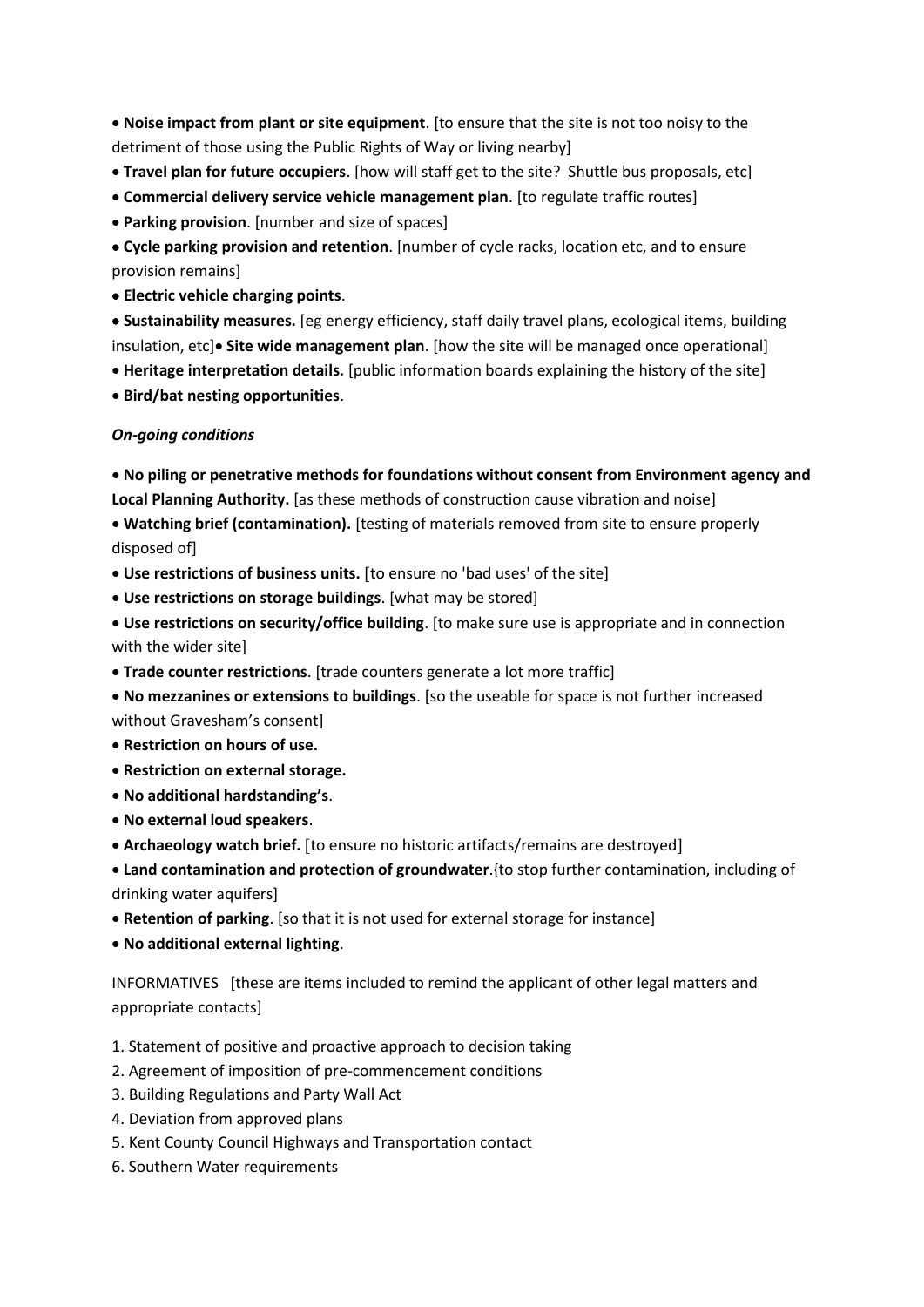**Noise impact from plant or site equipment**. [to ensure that the site is not too noisy to the detriment of those using the Public Rights of Way or living nearby]

- **Travel plan for future occupiers**. [how will staff get to the site? Shuttle bus proposals, etc]
- **Commercial delivery service vehicle management plan**. [to regulate traffic routes]
- **Parking provision**. [number and size of spaces]

 **Cycle parking provision and retention**. [number of cycle racks, location etc, and to ensure provision remains]

**Electric vehicle charging points**.

 **Sustainability measures.** [eg energy efficiency, staff daily travel plans, ecological items, building insulation, etc]<sup>•</sup> Site wide management plan. [how the site will be managed once operational]

- **Heritage interpretation details.** [public information boards explaining the history of the site]
- **Bird/bat nesting opportunities**.

## *On-going conditions*

 **No piling or penetrative methods for foundations without consent from Environment agency and Local Planning Authority.** [as these methods of construction cause vibration and noise]

 **Watching brief (contamination).** [testing of materials removed from site to ensure properly disposed of]

- Use restrictions of business units. [to ensure no 'bad uses' of the site]
- **Use restrictions on storage buildings**. [what may be stored]
- **Use restrictions on security/office building**. [to make sure use is appropriate and in connection with the wider site]
- **Trade counter restrictions**. [trade counters generate a lot more traffic]
- **No mezzanines or extensions to buildings**. [so the useable for space is not further increased without Gravesham's consent]
- **Restriction on hours of use.**
- **Restriction on external storage.**
- **No additional hardstanding's**.
- **No external loud speakers**.
- Archaeology watch brief. [to ensure no historic artifacts/remains are destroyed]
- **Land contamination and protection of groundwater**.{to stop further contamination, including of drinking water aquifers]
- **Retention of parking**. [so that it is not used for external storage for instance]
- **No additional external lighting**.

INFORMATIVES [these are items included to remind the applicant of other legal matters and appropriate contacts]

- 1. Statement of positive and proactive approach to decision taking
- 2. Agreement of imposition of pre-commencement conditions
- 3. Building Regulations and Party Wall Act
- 4. Deviation from approved plans
- 5. Kent County Council Highways and Transportation contact
- 6. Southern Water requirements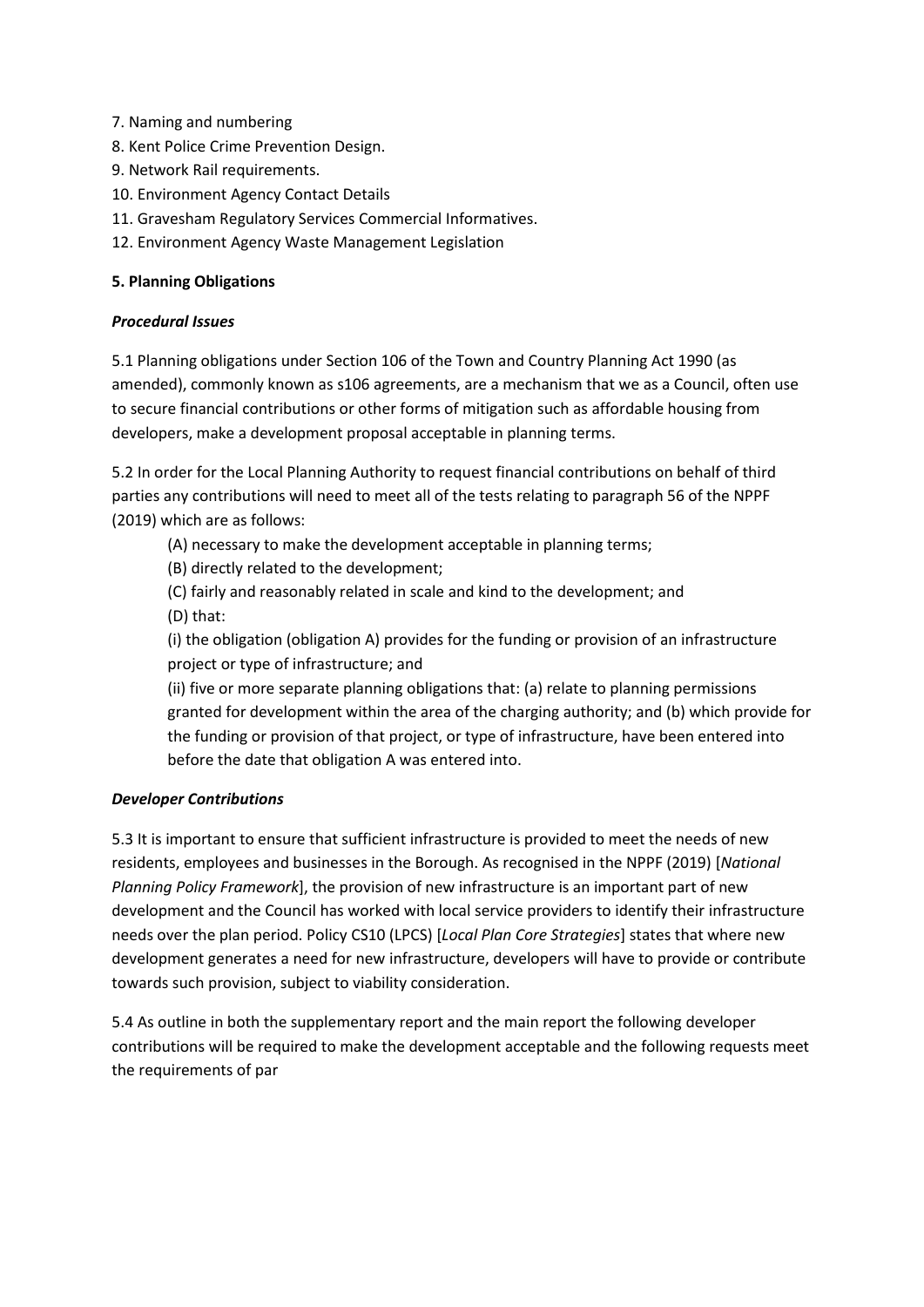- 7. Naming and numbering
- 8. Kent Police Crime Prevention Design.
- 9. Network Rail requirements.
- 10. Environment Agency Contact Details
- 11. Gravesham Regulatory Services Commercial Informatives.
- 12. Environment Agency Waste Management Legislation

## **5. Planning Obligations**

## *Procedural Issues*

5.1 Planning obligations under Section 106 of the Town and Country Planning Act 1990 (as amended), commonly known as s106 agreements, are a mechanism that we as a Council, often use to secure financial contributions or other forms of mitigation such as affordable housing from developers, make a development proposal acceptable in planning terms.

5.2 In order for the Local Planning Authority to request financial contributions on behalf of third parties any contributions will need to meet all of the tests relating to paragraph 56 of the NPPF (2019) which are as follows:

(A) necessary to make the development acceptable in planning terms;

(B) directly related to the development;

(C) fairly and reasonably related in scale and kind to the development; and (D) that:

(i) the obligation (obligation A) provides for the funding or provision of an infrastructure project or type of infrastructure; and

(ii) five or more separate planning obligations that: (a) relate to planning permissions granted for development within the area of the charging authority; and (b) which provide for the funding or provision of that project, or type of infrastructure, have been entered into before the date that obligation A was entered into.

## *Developer Contributions*

5.3 It is important to ensure that sufficient infrastructure is provided to meet the needs of new residents, employees and businesses in the Borough. As recognised in the NPPF (2019) [*National Planning Policy Framework*], the provision of new infrastructure is an important part of new development and the Council has worked with local service providers to identify their infrastructure needs over the plan period. Policy CS10 (LPCS) [*Local Plan Core Strategies*] states that where new development generates a need for new infrastructure, developers will have to provide or contribute towards such provision, subject to viability consideration.

5.4 As outline in both the supplementary report and the main report the following developer contributions will be required to make the development acceptable and the following requests meet the requirements of par